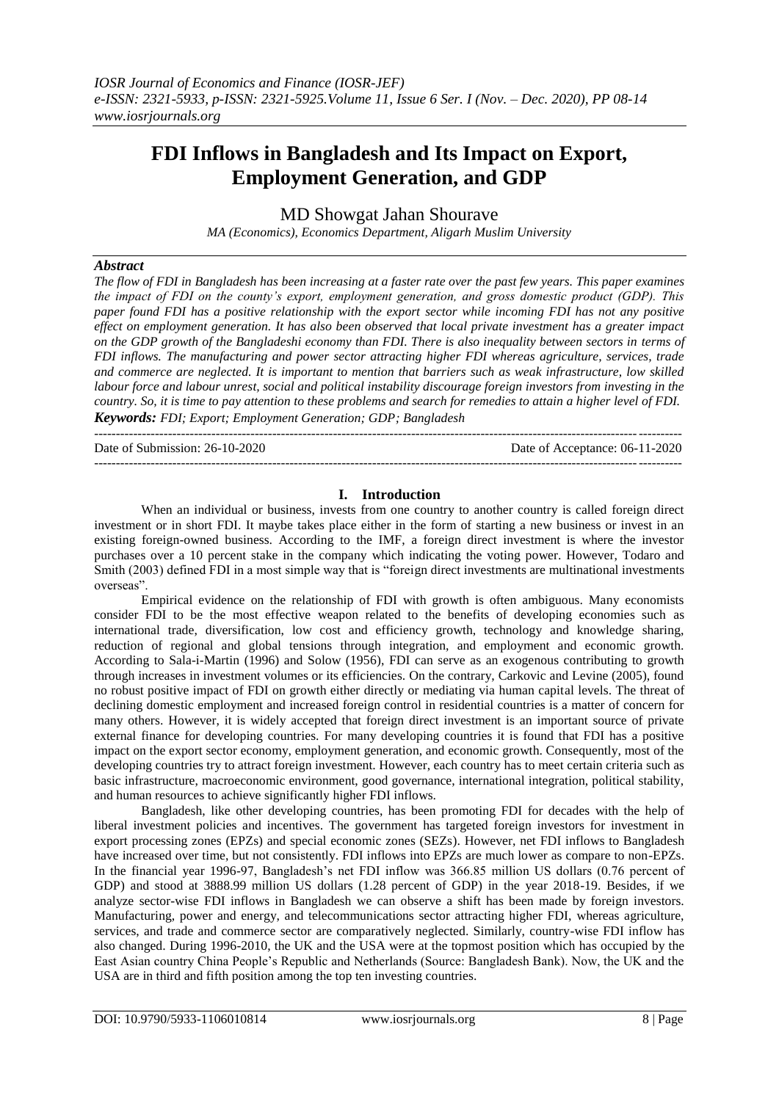# **FDI Inflows in Bangladesh and Its Impact on Export, Employment Generation, and GDP**

MD Showgat Jahan Shourave

*MA (Economics), Economics Department, Aligarh Muslim University*

# *Abstract*

*The flow of FDI in Bangladesh has been increasing at a faster rate over the past few years. This paper examines the impact of FDI on the county's export, employment generation, and gross domestic product (GDP). This paper found FDI has a positive relationship with the export sector while incoming FDI has not any positive effect on employment generation. It has also been observed that local private investment has a greater impact on the GDP growth of the Bangladeshi economy than FDI. There is also inequality between sectors in terms of FDI inflows. The manufacturing and power sector attracting higher FDI whereas agriculture, services, trade and commerce are neglected. It is important to mention that barriers such as weak infrastructure, low skilled labour force and labour unrest, social and political instability discourage foreign investors from investing in the country. So, it is time to pay attention to these problems and search for remedies to attain a higher level of FDI. Keywords: FDI; Export; Employment Generation; GDP; Bangladesh*  ---------------------------------------------------------------------------------------------------------------------------------------

Date of Submission: 26-10-2020 Date of Acceptance: 06-11-2020

---------------------------------------------------------------------------------------------------------------------------------------

# **I. Introduction**

When an individual or business, invests from one country to another country is called foreign direct investment or in short FDI. It maybe takes place either in the form of starting a new business or invest in an existing foreign-owned business. According to the IMF, a foreign direct investment is where the investor purchases over a 10 percent stake in the company which indicating the voting power. However, Todaro and Smith (2003) defined FDI in a most simple way that is "foreign direct investments are multinational investments overseas".

Empirical evidence on the relationship of FDI with growth is often ambiguous. Many economists consider FDI to be the most effective weapon related to the benefits of developing economies such as international trade, diversification, low cost and efficiency growth, technology and knowledge sharing, reduction of regional and global tensions through integration, and employment and economic growth. According to Sala-i-Martin (1996) and Solow (1956), FDI can serve as an exogenous contributing to growth through increases in investment volumes or its efficiencies. On the contrary, Carkovic and Levine (2005), found no robust positive impact of FDI on growth either directly or mediating via human capital levels. The threat of declining domestic employment and increased foreign control in residential countries is a matter of concern for many others. However, it is widely accepted that foreign direct investment is an important source of private external finance for developing countries. For many developing countries it is found that FDI has a positive impact on the export sector economy, employment generation, and economic growth. Consequently, most of the developing countries try to attract foreign investment. However, each country has to meet certain criteria such as basic infrastructure, macroeconomic environment, good governance, international integration, political stability, and human resources to achieve significantly higher FDI inflows.

Bangladesh, like other developing countries, has been promoting FDI for decades with the help of liberal investment policies and incentives. The government has targeted foreign investors for investment in export processing zones (EPZs) and special economic zones (SEZs). However, net FDI inflows to Bangladesh have increased over time, but not consistently. FDI inflows into EPZs are much lower as compare to non-EPZs. In the financial year 1996-97, Bangladesh's net FDI inflow was 366.85 million US dollars (0.76 percent of GDP) and stood at 3888.99 million US dollars (1.28 percent of GDP) in the year 2018-19. Besides, if we analyze sector-wise FDI inflows in Bangladesh we can observe a shift has been made by foreign investors. Manufacturing, power and energy, and telecommunications sector attracting higher FDI, whereas agriculture, services, and trade and commerce sector are comparatively neglected. Similarly, country-wise FDI inflow has also changed. During 1996-2010, the UK and the USA were at the topmost position which has occupied by the East Asian country China People's Republic and Netherlands (Source: Bangladesh Bank). Now, the UK and the USA are in third and fifth position among the top ten investing countries.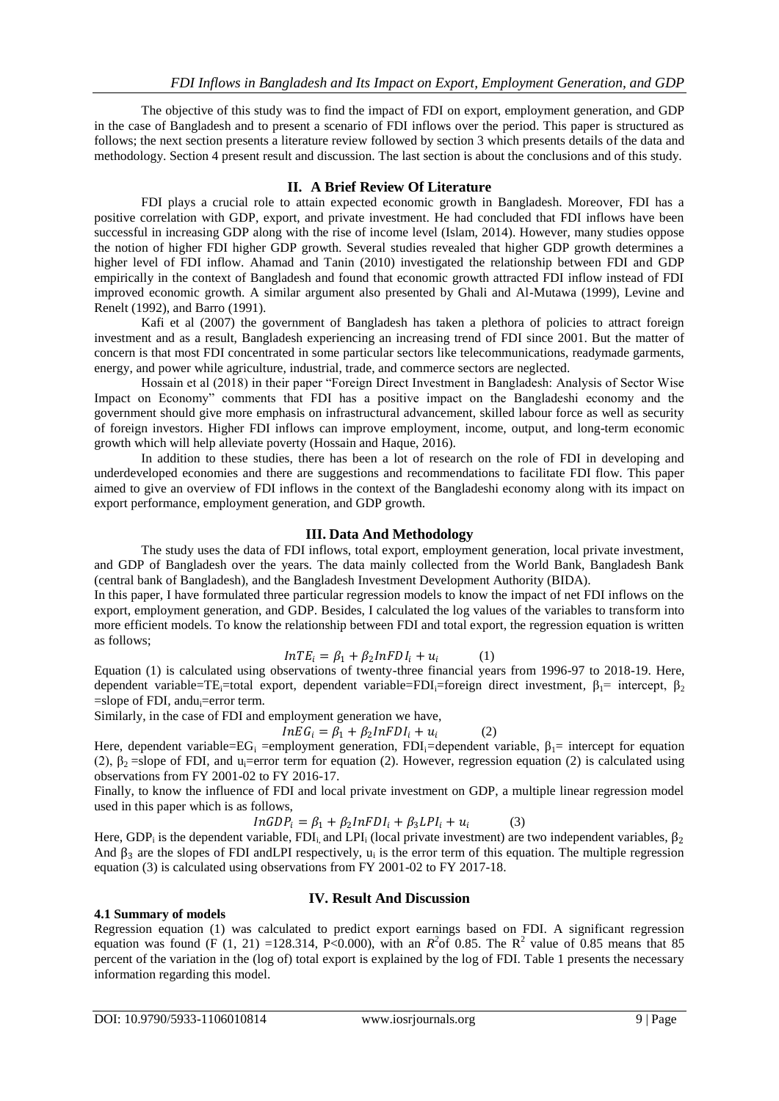The objective of this study was to find the impact of FDI on export, employment generation, and GDP in the case of Bangladesh and to present a scenario of FDI inflows over the period. This paper is structured as follows; the next section presents a literature review followed by section 3 which presents details of the data and methodology. Section 4 present result and discussion. The last section is about the conclusions and of this study.

# **II. A Brief Review Of Literature**

FDI plays a crucial role to attain expected economic growth in Bangladesh. Moreover, FDI has a positive correlation with GDP, export, and private investment. He had concluded that FDI inflows have been successful in increasing GDP along with the rise of income level (Islam, 2014). However, many studies oppose the notion of higher FDI higher GDP growth. Several studies revealed that higher GDP growth determines a higher level of FDI inflow. Ahamad and Tanin (2010) investigated the relationship between FDI and GDP empirically in the context of Bangladesh and found that economic growth attracted FDI inflow instead of FDI improved economic growth. A similar argument also presented by Ghali and Al-Mutawa (1999), Levine and Renelt (1992), and Barro (1991).

Kafi et al (2007) the government of Bangladesh has taken a plethora of policies to attract foreign investment and as a result, Bangladesh experiencing an increasing trend of FDI since 2001. But the matter of concern is that most FDI concentrated in some particular sectors like telecommunications, readymade garments, energy, and power while agriculture, industrial, trade, and commerce sectors are neglected.

Hossain et al (2018) in their paper "Foreign Direct Investment in Bangladesh: Analysis of Sector Wise Impact on Economy" comments that FDI has a positive impact on the Bangladeshi economy and the government should give more emphasis on infrastructural advancement, skilled labour force as well as security of foreign investors. Higher FDI inflows can improve employment, income, output, and long-term economic growth which will help alleviate poverty (Hossain and Haque, 2016).

In addition to these studies, there has been a lot of research on the role of FDI in developing and underdeveloped economies and there are suggestions and recommendations to facilitate FDI flow. This paper aimed to give an overview of FDI inflows in the context of the Bangladeshi economy along with its impact on export performance, employment generation, and GDP growth.

# **III. Data And Methodology**

The study uses the data of FDI inflows, total export, employment generation, local private investment, and GDP of Bangladesh over the years. The data mainly collected from the World Bank, Bangladesh Bank (central bank of Bangladesh), and the Bangladesh Investment Development Authority (BIDA).

In this paper, I have formulated three particular regression models to know the impact of net FDI inflows on the export, employment generation, and GDP. Besides, I calculated the log values of the variables to transform into more efficient models. To know the relationship between FDI and total export, the regression equation is written as follows;

$$
InTE_i = \beta_1 + \beta_2 InFDI_i + u_i \tag{1}
$$

Equation (1) is calculated using observations of twenty-three financial years from 1996-97 to 2018-19. Here, dependent variable=TE<sub>i</sub>=total export, dependent variable=FDI<sub>i</sub>=foreign direct investment, β<sub>1</sub>= intercept, β<sub>2</sub> =slope of FDI, andu<sub>i</sub>=error term.

Similarly, in the case of FDI and employment generation we have,

$$
InEG_i = \beta_1 + \beta_2 InFDI_i + u_i \tag{2}
$$

Here, dependent variable= $EG_i$  =employment generation,  $FDI_i$ =dependent variable,  $\beta_i$ = intercept for equation (2),  $\beta_2$  =slope of FDI, and u<sub>i</sub>=error term for equation (2). However, regression equation (2) is calculated using observations from FY 2001-02 to FY 2016-17.

Finally, to know the influence of FDI and local private investment on GDP, a multiple linear regression model used in this paper which is as follows,

$$
InGDPi = \beta_1 + \beta_2 InFDIi + \beta_3 LPIi + ui
$$
 (3)

Here, GDP<sub>i</sub> is the dependent variable, FDI<sub>i</sub>, and LPI<sub>i</sub> (local private investment) are two independent variables,  $\beta_2$ And  $\beta_3$  are the slopes of FDI and LPI respectively,  $u_i$  is the error term of this equation. The multiple regression equation (3) is calculated using observations from FY 2001-02 to FY 2017-18.

# **4.1 Summary of models**

# **IV. Result And Discussion**

Regression equation (1) was calculated to predict export earnings based on FDI. A significant regression equation was found (F (1, 21) =128.314, P<0.000), with an  $R^2$  of 0.85. The R<sup>2</sup> value of 0.85 means that 85 percent of the variation in the (log of) total export is explained by the log of FDI. Table 1 presents the necessary information regarding this model.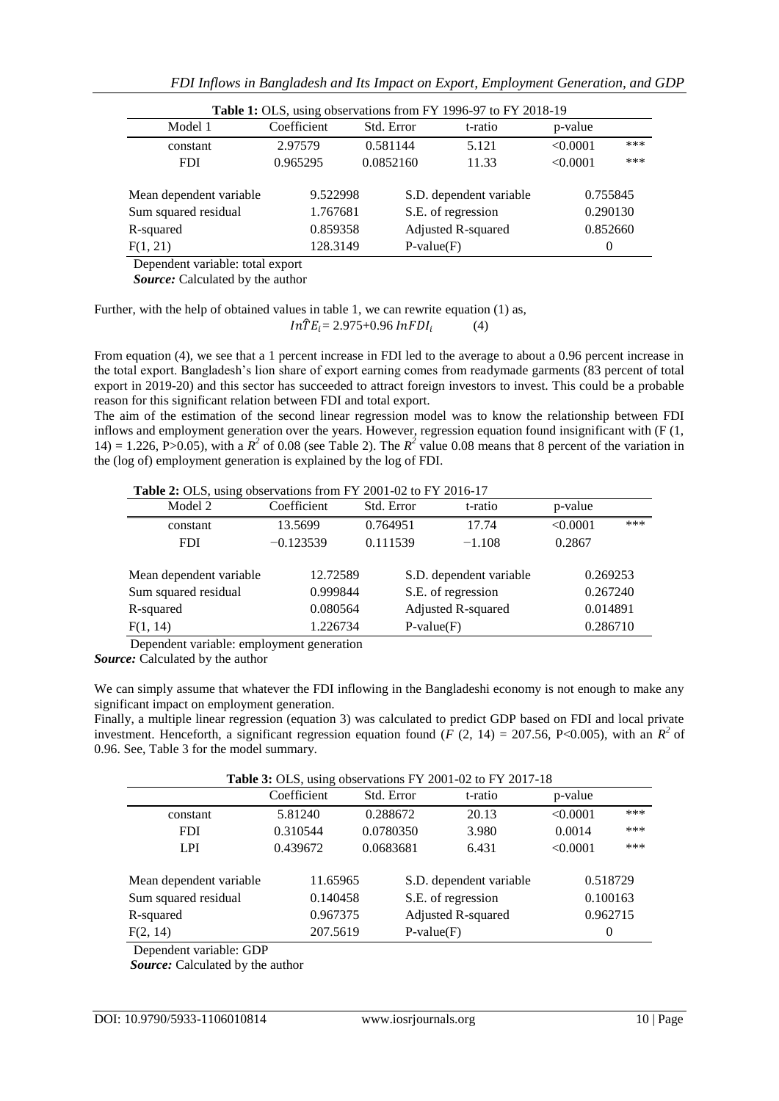| FDI Inflows in Bangladesh and Its Impact on Export, Employment Generation, and GDP |  |  |  |
|------------------------------------------------------------------------------------|--|--|--|
|                                                                                    |  |  |  |

| Table 1: OLS, using observations from FY 1996-97 to FY 2018-19 |             |            |                         |          |     |  |  |  |
|----------------------------------------------------------------|-------------|------------|-------------------------|----------|-----|--|--|--|
| Model 1                                                        | Coefficient | Std. Error | t-ratio                 | p-value  |     |  |  |  |
| constant                                                       | 2.97579     | 0.581144   | 5.121                   | < 0.0001 | *** |  |  |  |
| <b>FDI</b>                                                     | 0.965295    | 0.0852160  | 11.33                   | < 0.0001 | *** |  |  |  |
|                                                                |             |            |                         |          |     |  |  |  |
| Mean dependent variable                                        | 9.522998    |            | S.D. dependent variable | 0.755845 |     |  |  |  |
| Sum squared residual                                           | 1.767681    |            | S.E. of regression      | 0.290130 |     |  |  |  |
| R-squared                                                      | 0.859358    |            | Adjusted R-squared      | 0.852660 |     |  |  |  |
| F(1, 21)                                                       | 128.3149    |            | $P-value(F)$            | $\theta$ |     |  |  |  |

Dependent variable: total export

 *Source:* Calculated by the author

Further, with the help of obtained values in table 1, we can rewrite equation (1) as,  $In\hat{T}E_i = 2.975+0.96 InFDI_i$  $(4)$ 

From equation (4), we see that a 1 percent increase in FDI led to the average to about a 0.96 percent increase in the total export. Bangladesh's lion share of export earning comes from readymade garments (83 percent of total export in 2019-20) and this sector has succeeded to attract foreign investors to invest. This could be a probable reason for this significant relation between FDI and total export.

The aim of the estimation of the second linear regression model was to know the relationship between FDI inflows and employment generation over the years. However, regression equation found insignificant with (F (1, 14) = 1.226, P>0.05), with a  $R^2$  of 0.08 (see Table 2). The  $R^2$  value 0.08 means that 8 percent of the variation in the (log of) employment generation is explained by the log of FDI.

 **Table 2:** OLS, using observations from FY 2001-02 to FY 2016-17

| Model 2                 | Coefficient | Std. Error | t-ratio                 | p-value  |     |
|-------------------------|-------------|------------|-------------------------|----------|-----|
| constant                | 13.5699     | 0.764951   | 17.74                   | < 0.0001 | *** |
| <b>FDI</b>              | $-0.123539$ | 0.111539   | $-1.108$                | 0.2867   |     |
|                         |             |            |                         |          |     |
| Mean dependent variable | 12.72589    |            | S.D. dependent variable | 0.269253 |     |
| Sum squared residual    | 0.999844    |            | S.E. of regression      | 0.267240 |     |
| R-squared               | 0.080564    |            | Adjusted R-squared      | 0.014891 |     |
| F(1, 14)                | 1.226734    |            | $P-value(F)$            | 0.286710 |     |

Dependent variable: employment generation

*Source:* Calculated by the author

We can simply assume that whatever the FDI inflowing in the Bangladeshi economy is not enough to make any significant impact on employment generation.

Finally, a multiple linear regression (equation 3) was calculated to predict GDP based on FDI and local private investment. Henceforth, a significant regression equation found ( $\hat{F}$  (2, 14) = 207.56, P<0.005), with an  $R^2$  of 0.96. See, Table 3 for the model summary.

Table 3: OLS, using observations FV 2001-02 to FV 2017-18

|                                                              | Coefficient                      | Std. Error | t-ratio                                                             | p-value                          |     |
|--------------------------------------------------------------|----------------------------------|------------|---------------------------------------------------------------------|----------------------------------|-----|
| constant                                                     | 5.81240                          | 0.288672   | 20.13                                                               | < 0.0001                         | *** |
| <b>FDI</b>                                                   | 0.310544                         | 0.0780350  | 3.980                                                               | 0.0014                           | *** |
| <b>LPI</b>                                                   | 0.439672                         | 0.0683681  | 6.431                                                               | < 0.0001                         | *** |
| Mean dependent variable<br>Sum squared residual<br>R-squared | 11.65965<br>0.140458<br>0.967375 |            | S.D. dependent variable<br>S.E. of regression<br>Adjusted R-squared | 0.518729<br>0.100163<br>0.962715 |     |
| F(2, 14)                                                     | 207.5619                         |            | $P-value(F)$                                                        | 0                                |     |

Dependent variable: GDP

 *Source:* Calculated by the author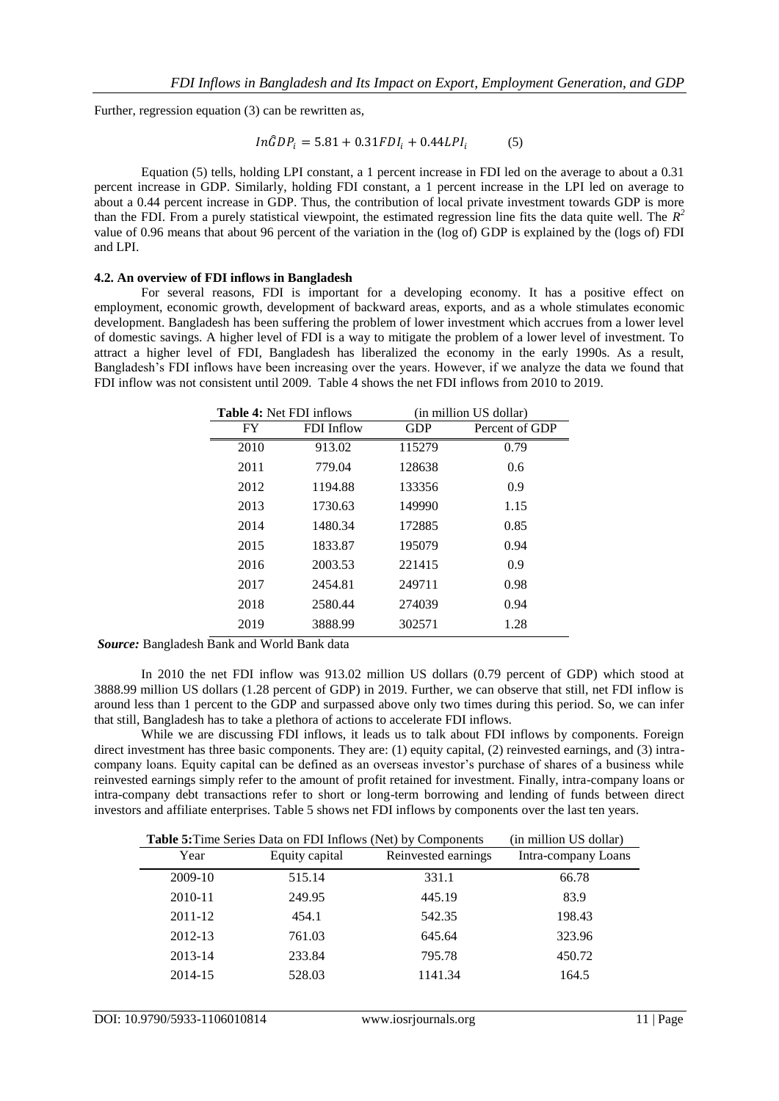Further, regression equation (3) can be rewritten as,

$$
In\hat{G}DP_i = 5.81 + 0.31FDI_i + 0.44LPI_i \tag{5}
$$

Equation (5) tells, holding LPI constant, a 1 percent increase in FDI led on the average to about a 0.31 percent increase in GDP. Similarly, holding FDI constant, a 1 percent increase in the LPI led on average to about a 0.44 percent increase in GDP. Thus, the contribution of local private investment towards GDP is more than the FDI. From a purely statistical viewpoint, the estimated regression line fits the data quite well. The  $R^2$ value of 0.96 means that about 96 percent of the variation in the (log of) GDP is explained by the (logs of) FDI and LPI.

# **4.2. An overview of FDI inflows in Bangladesh**

For several reasons, FDI is important for a developing economy. It has a positive effect on employment, economic growth, development of backward areas, exports, and as a whole stimulates economic development. Bangladesh has been suffering the problem of lower investment which accrues from a lower level of domestic savings. A higher level of FDI is a way to mitigate the problem of a lower level of investment. To attract a higher level of FDI, Bangladesh has liberalized the economy in the early 1990s. As a result, Bangladesh's FDI inflows have been increasing over the years. However, if we analyze the data we found that FDI inflow was not consistent until 2009. Table 4 shows the net FDI inflows from 2010 to 2019.

| <b>Table 4: Net FDI inflows</b> |            | (in million US dollar) |                |  |
|---------------------------------|------------|------------------------|----------------|--|
| FY                              | FDI Inflow | <b>GDP</b>             | Percent of GDP |  |
| 2010                            | 913.02     | 115279                 | 0.79           |  |
| 2011                            | 779.04     | 128638                 | 0.6            |  |
| 2012                            | 1194.88    | 133356                 | 0.9            |  |
| 2013                            | 1730.63    | 149990                 | 1.15           |  |
| 2014                            | 1480.34    | 172885                 | 0.85           |  |
| 2015                            | 1833.87    | 195079                 | 0.94           |  |
| 2016                            | 2003.53    | 221415                 | 0.9            |  |
| 2017                            | 2454.81    | 249711                 | 0.98           |  |
| 2018                            | 2580.44    | 274039                 | 0.94           |  |
| 2019                            | 3888.99    | 302571                 | 1.28           |  |

*Source:* Bangladesh Bank and World Bank data

In 2010 the net FDI inflow was 913.02 million US dollars (0.79 percent of GDP) which stood at 3888.99 million US dollars (1.28 percent of GDP) in 2019. Further, we can observe that still, net FDI inflow is around less than 1 percent to the GDP and surpassed above only two times during this period. So, we can infer that still, Bangladesh has to take a plethora of actions to accelerate FDI inflows.

While we are discussing FDI inflows, it leads us to talk about FDI inflows by components. Foreign direct investment has three basic components. They are: (1) equity capital, (2) reinvested earnings, and (3) intracompany loans. Equity capital can be defined as an overseas investor's purchase of shares of a business while reinvested earnings simply refer to the amount of profit retained for investment. Finally, intra-company loans or intra-company debt transactions refer to short or long-term borrowing and lending of funds between direct investors and affiliate enterprises. Table 5 shows net FDI inflows by components over the last ten years.

| <b>Table 5:</b> Time Series Data on FDI Inflows (Net) by Components | (in million US dollar) |                     |                     |
|---------------------------------------------------------------------|------------------------|---------------------|---------------------|
| Year                                                                | Equity capital         | Reinvested earnings | Intra-company Loans |
| 2009-10                                                             | 515.14                 | 331.1               | 66.78               |
| 2010-11                                                             | 249.95                 | 445.19              | 83.9                |
| 2011-12                                                             | 454.1                  | 542.35              | 198.43              |
| 2012-13                                                             | 761.03                 | 645.64              | 323.96              |
| 2013-14                                                             | 233.84                 | 795.78              | 450.72              |
| 2014-15                                                             | 528.03                 | 1141.34             | 164.5               |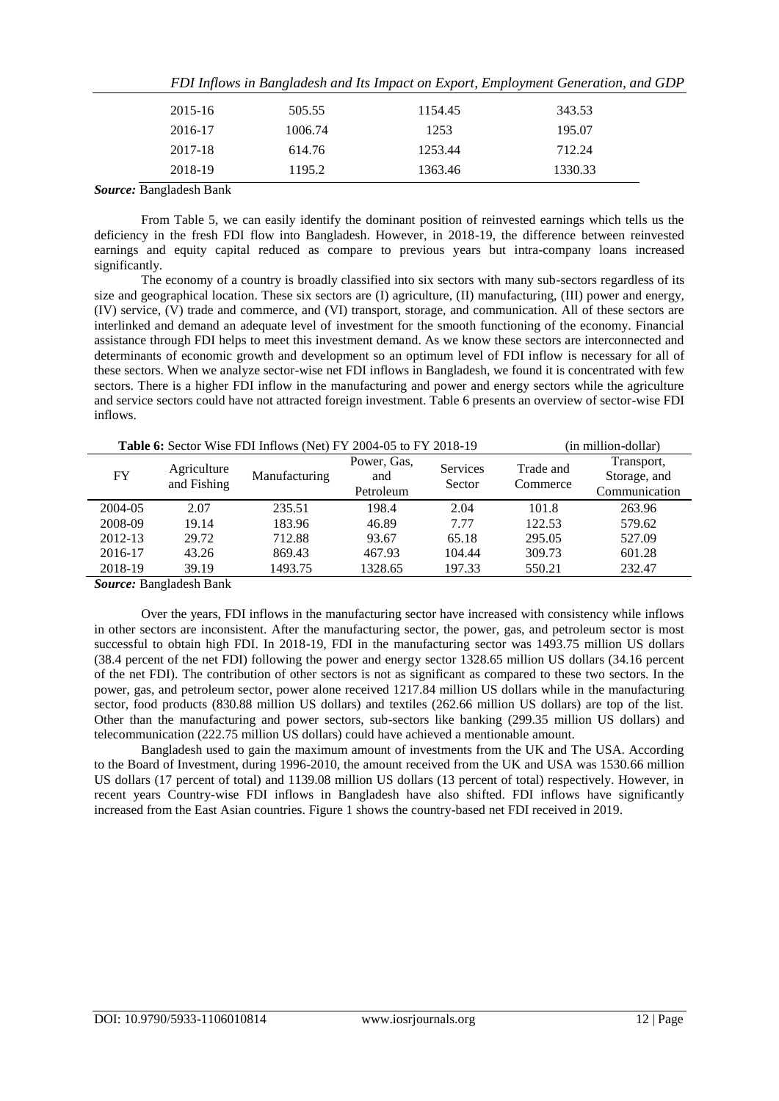|         |         | 121 mg/c ma an Dunguniaan unu na mipuer en Eupert, Empre jinem Senerunon, unu SE |         |  |
|---------|---------|----------------------------------------------------------------------------------|---------|--|
| 2015-16 | 505.55  | 1154.45                                                                          | 343.53  |  |
| 2016-17 | 1006.74 | 1253                                                                             | 195.07  |  |
| 2017-18 | 614.76  | 1253.44                                                                          | 712.24  |  |
| 2018-19 | 1195.2  | 1363.46                                                                          | 1330.33 |  |
|         |         |                                                                                  |         |  |

|  |  | FDI Inflows in Bangladesh and Its Impact on Export, Employment Generation, and GDP |  |
|--|--|------------------------------------------------------------------------------------|--|
|  |  |                                                                                    |  |

*Source:* Bangladesh Bank

From Table 5, we can easily identify the dominant position of reinvested earnings which tells us the deficiency in the fresh FDI flow into Bangladesh. However, in 2018-19, the difference between reinvested earnings and equity capital reduced as compare to previous years but intra-company loans increased significantly.

The economy of a country is broadly classified into six sectors with many sub-sectors regardless of its size and geographical location. These six sectors are (I) agriculture, (II) manufacturing, (III) power and energy, (IV) service, (V) trade and commerce, and (VI) transport, storage, and communication. All of these sectors are interlinked and demand an adequate level of investment for the smooth functioning of the economy. Financial assistance through FDI helps to meet this investment demand. As we know these sectors are interconnected and determinants of economic growth and development so an optimum level of FDI inflow is necessary for all of these sectors. When we analyze sector-wise net FDI inflows in Bangladesh, we found it is concentrated with few sectors. There is a higher FDI inflow in the manufacturing and power and energy sectors while the agriculture and service sectors could have not attracted foreign investment. Table 6 presents an overview of sector-wise FDI inflows.

| Table 6: Sector Wise FDI Inflows (Net) FY 2004-05 to FY 2018-19 |             |               |             |          |           | (in million-dollar) |
|-----------------------------------------------------------------|-------------|---------------|-------------|----------|-----------|---------------------|
|                                                                 | Agriculture | Manufacturing | Power, Gas, | Services | Trade and | Transport,          |
| <b>FY</b>                                                       | and Fishing |               | and         | Sector   | Commerce  | Storage, and        |
|                                                                 |             |               | Petroleum   |          |           | Communication       |
| 2004-05                                                         | 2.07        | 235.51        | 198.4       | 2.04     | 101.8     | 263.96              |
| 2008-09                                                         | 19.14       | 183.96        | 46.89       | 7.77     | 122.53    | 579.62              |
| 2012-13                                                         | 29.72       | 712.88        | 93.67       | 65.18    | 295.05    | 527.09              |
| 2016-17                                                         | 43.26       | 869.43        | 467.93      | 104.44   | 309.73    | 601.28              |
| 2018-19                                                         | 39.19       | 1493.75       | 1328.65     | 197.33   | 550.21    | 232.47              |
|                                                                 |             |               |             |          |           |                     |

*Source:* Bangladesh Bank

Over the years, FDI inflows in the manufacturing sector have increased with consistency while inflows in other sectors are inconsistent. After the manufacturing sector, the power, gas, and petroleum sector is most successful to obtain high FDI. In 2018-19, FDI in the manufacturing sector was 1493.75 million US dollars (38.4 percent of the net FDI) following the power and energy sector 1328.65 million US dollars (34.16 percent of the net FDI). The contribution of other sectors is not as significant as compared to these two sectors. In the power, gas, and petroleum sector, power alone received 1217.84 million US dollars while in the manufacturing sector, food products (830.88 million US dollars) and textiles (262.66 million US dollars) are top of the list. Other than the manufacturing and power sectors, sub-sectors like banking (299.35 million US dollars) and telecommunication (222.75 million US dollars) could have achieved a mentionable amount.

Bangladesh used to gain the maximum amount of investments from the UK and The USA. According to the Board of Investment, during 1996-2010, the amount received from the UK and USA was 1530.66 million US dollars (17 percent of total) and 1139.08 million US dollars (13 percent of total) respectively. However, in recent years Country-wise FDI inflows in Bangladesh have also shifted. FDI inflows have significantly increased from the East Asian countries. Figure 1 shows the country-based net FDI received in 2019.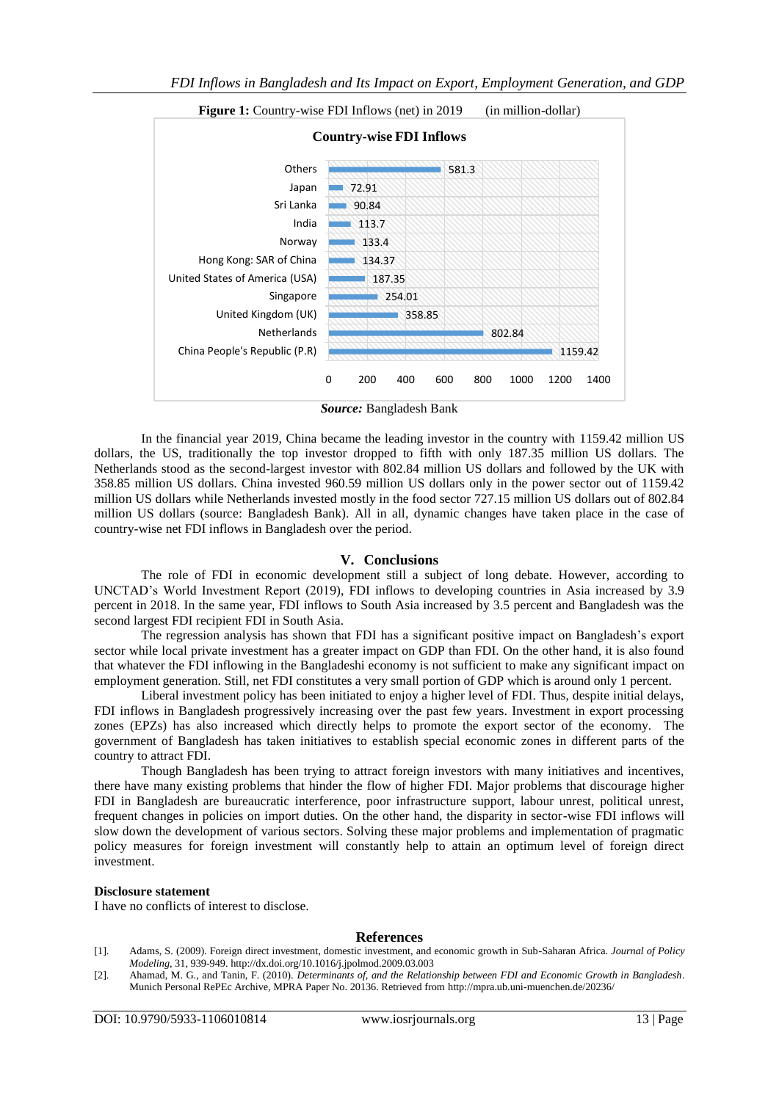

*Source:* Bangladesh Bank

In the financial year 2019, China became the leading investor in the country with 1159.42 million US dollars, the US, traditionally the top investor dropped to fifth with only 187.35 million US dollars. The Netherlands stood as the second-largest investor with 802.84 million US dollars and followed by the UK with 358.85 million US dollars. China invested 960.59 million US dollars only in the power sector out of 1159.42 million US dollars while Netherlands invested mostly in the food sector 727.15 million US dollars out of 802.84 million US dollars (source: Bangladesh Bank). All in all, dynamic changes have taken place in the case of country-wise net FDI inflows in Bangladesh over the period.

# **V. Conclusions**

The role of FDI in economic development still a subject of long debate. However, according to UNCTAD's World Investment Report (2019), FDI inflows to developing countries in Asia increased by 3.9 percent in 2018. In the same year, FDI inflows to South Asia increased by 3.5 percent and Bangladesh was the second largest FDI recipient FDI in South Asia.

The regression analysis has shown that FDI has a significant positive impact on Bangladesh's export sector while local private investment has a greater impact on GDP than FDI. On the other hand, it is also found that whatever the FDI inflowing in the Bangladeshi economy is not sufficient to make any significant impact on employment generation. Still, net FDI constitutes a very small portion of GDP which is around only 1 percent.

Liberal investment policy has been initiated to enjoy a higher level of FDI. Thus, despite initial delays, FDI inflows in Bangladesh progressively increasing over the past few years. Investment in export processing zones (EPZs) has also increased which directly helps to promote the export sector of the economy. The government of Bangladesh has taken initiatives to establish special economic zones in different parts of the country to attract FDI.

Though Bangladesh has been trying to attract foreign investors with many initiatives and incentives, there have many existing problems that hinder the flow of higher FDI. Major problems that discourage higher FDI in Bangladesh are bureaucratic interference, poor infrastructure support, labour unrest, political unrest, frequent changes in policies on import duties. On the other hand, the disparity in sector-wise FDI inflows will slow down the development of various sectors. Solving these major problems and implementation of pragmatic policy measures for foreign investment will constantly help to attain an optimum level of foreign direct investment.

#### **Disclosure statement**

I have no conflicts of interest to disclose.

#### **References**

[1]. Adams, S. (2009). Foreign direct investment, domestic investment, and economic growth in Sub-Saharan Africa. *Journal of Policy Modeling*, 31, 939-949[. http://dx.doi.org/10.1016/j.jpolmod.2009.03.003](http://dx.doi.org/10.1016/j.jpolmod.2009.03.003)

<sup>[2].</sup> Ahamad, M. G., and Tanin, F. (2010). *Determinants of, and the Relationship between FDI and Economic Growth in Bangladesh*. Munich Personal RePEc Archive, MPRA Paper No. 20136. Retrieved fro[m http://mpra.ub.uni-muenchen.de/20236/](http://mpra.ub.uni-muenchen.de/20236/)